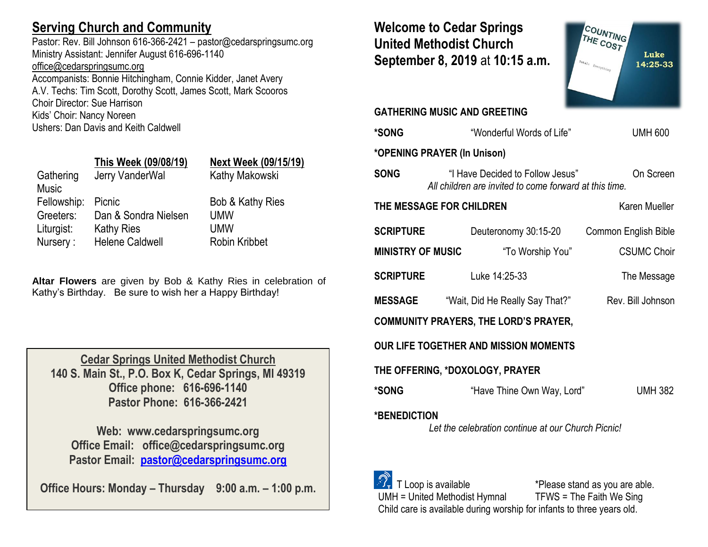# **Serving Church and Community**

Pastor: Rev. Bill Johnson 616-366-2421 – pastor@cedarspringsumc.org Ministry Assistant: Jennifer August 616-696-1140 [office@cedarspringsumc.org](mailto:office@cedarspringsumc.org) Accompanists: Bonnie Hitchingham, Connie Kidder, Janet Avery

A.V. Techs: Tim Scott, Dorothy Scott, James Scott, Mark Scooros Choir Director: Sue Harrison Kids' Choir: Nancy Noreen

Ushers: Dan Davis and Keith Caldwell

## **This Week (09/08/19) Next Week (09/15/19)**

| Gathering<br><b>Music</b> | Jerry VanderWal        | Kathy Makowski       |
|---------------------------|------------------------|----------------------|
| Fellowship:               | Picnic                 | Bob & Kathy Ries     |
| Greeters:                 | Dan & Sondra Nielsen   | <b>UMW</b>           |
| Liturgist:                | <b>Kathy Ries</b>      | <b>UMW</b>           |
| Nursery:                  | <b>Helene Caldwell</b> | <b>Robin Kribbet</b> |

**Altar Flowers** are given by Bob & Kathy Ries in celebration of Kathy's Birthday. Be sure to wish her a Happy Birthday!

**Cedar Springs United Methodist Church 140 S. Main St., P.O. Box K, Cedar Springs, MI 49319 Office phone: 616-696-1140 Pastor Phone: 616-366-2421**

**Web: www.cedarspringsumc.org Office Email: office@cedarspringsumc.org Pastor Email: [pastor@cedarspringsumc.org](mailto:pastor@cedarspringsumc.org)**

**Office Hours: Monday – Thursday 9:00 a.m. – 1:00 p.m.**

**Welcome to Cedar Springs United Methodist Church September 8, 2019** at **10:15 a.m.** 

**GATHERING MUSIC AND GREETING** 

COUNTING Luke 14:25-33 **\*SONG** "Wonderful Words of Life"UMH 600

**\*OPENING PRAYER (In Unison) SONG** "I Have Decided to Follow Jesus" On Screen

**THE MESSAGE FOR CHILDREN Karen Mueller** 

| <b>SCRIPTURE</b>         | Deuteronomy 30:15-20 | Common English Bible |
|--------------------------|----------------------|----------------------|
| <b>MINISTRY OF MUSIC</b> | "To Worship You"     | <b>CSUMC Choir</b>   |
| <b>SCRIPTURE</b>         | Luke 14:25-33        | The Message          |

*All children are invited to come forward at this time.*

**MESSAGE** "Wait, Did He Really Say That?" Rev. Bill Johnson

**COMMUNITY PRAYERS, THE LORD'S PRAYER,** 

**OUR LIFE TOGETHER AND MISSION MOMENTS**

### **THE OFFERING, \*DOXOLOGY, PRAYER**

**\*SONG** "Have Thine Own Way, Lord" UMH 382

### **\*BENEDICTION**

*Let the celebration continue at our Church Picnic!*

 T Loop is available \*Please stand as you are able. UMH = United Methodist Hymnal TFWS = The Faith We Sing Child care is available during worship for infants to three years old.